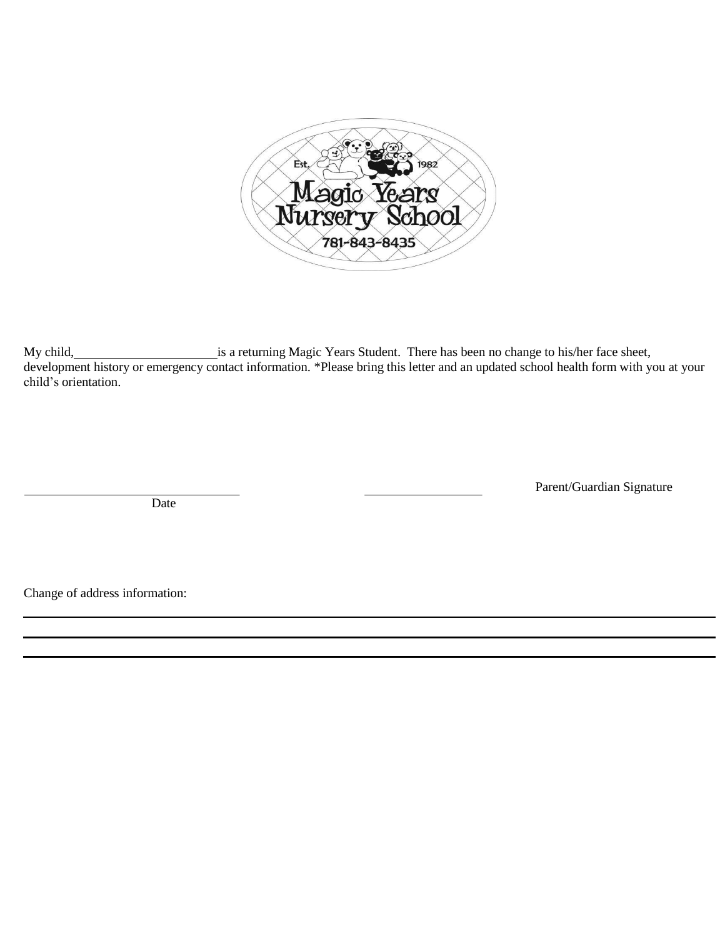

My child, is a returning Magic Years Student. There has been no change to his/her face sheet, development history or emergency contact information. \*Please bring this letter and an updated school health form with you at your child's orientation.

Date

Parent/Guardian Signature

Change of address information: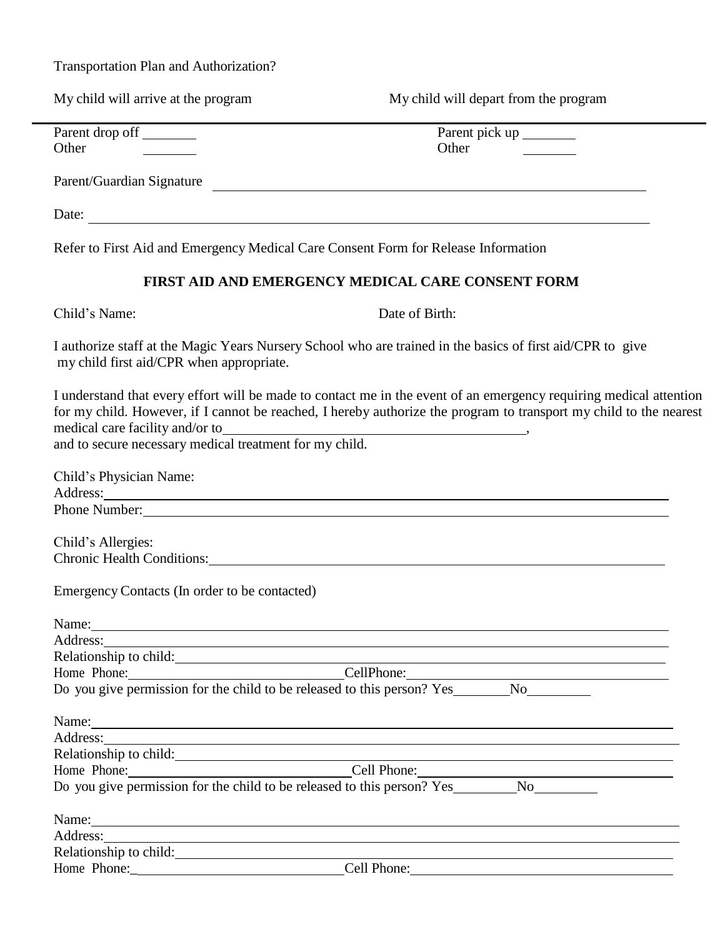Transportation Plan and Authorization?

Parent drop off **Other** Parent pick up **Other** Parent/Guardian Signature Date: Refer to First Aid and Emergency Medical Care Consent Form for Release Information **FIRST AID AND EMERGENCY MEDICAL CARE CONSENT FORM** Child's Name: Date of Birth: I authorize staff at the Magic Years Nursery School who are trained in the basics of first aid/CPR to give my child first aid/CPR when appropriate. I understand that every effort will be made to contact me in the event of an emergency requiring medical attention for my child. However, if I cannot be reached, I hereby authorize the program to transport my child to the nearest medical care facility and/or to , and to secure necessary medical treatment for my child. Child's Physician Name: Address: Phone Number: Child's Allergies: Chronic Health Conditions: Emergency Contacts (In order to be contacted) Name: Name: Address: Relationship to child: Home Phone: CellPhone: Do you give permission for the child to be released to this person? Yes No Name: Name: Address: Relationship to child: Home Phone: Cell Phone: Do you give permission for the child to be released to this person? Yes No Name: Address: <u>Address:</u> Address: Address: Address: Address: Address: Address: Address: Address: Address: Address: Address: Address: Address: Address: Address: Address: Address: Address: Address: Address: Address: Address: Addr Relationship to child:

Home Phone: Cell Phone: Cell Phone:

My child will arrive at the program My child will depart from the program